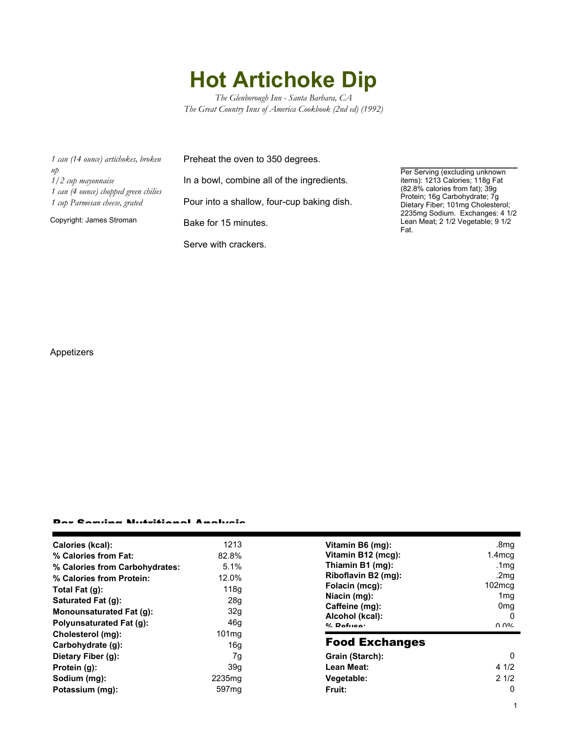## **Hot Artichoke Dip**

*The Glenborough Inn - Santa Barbara, CA The Great Country Inns of America Cookbook (2nd ed) (1992)*

*1 can (14 ounce) artichokes, broken up 1/2 cup mayonnaise 1 can (4 ounce) chopped green chilies 1 cup Parmesan cheese, grated*

Copyright: James Stroman

Preheat the oven to 350 degrees.

In a bowl, combine all of the ingredients.

Pour into a shallow, four-cup baking dish.

Bake for 15 minutes.

Serve with crackers.

Per Serving (excluding unknown items): 1213 Calories; 118g Fat (82.8% calories from fat); 39g Protein; 16g Carbohydrate; 7g Dietary Fiber; 101mg Cholesterol; 2235mg Sodium. Exchanges: 4 1/2 Lean Meat; 2 1/2 Vegetable; 9 1/2 Fat.

1

Appetizers

## Per Serving Nutritional Analysis

| Calories (kcal):                | 1213                     | Vitamin B6 (mg):                  | .8 <sub>mq</sub> |
|---------------------------------|--------------------------|-----------------------------------|------------------|
| % Calories from Fat:            | 82.8%                    | Vitamin B12 (mcg):                | $1.4$ mcq        |
| % Calories from Carbohydrates:  | 5.1%                     | Thiamin B1 (mg):                  | .1 <sub>mq</sub> |
| % Calories from Protein:        | 12.0%                    | Riboflavin B2 (mg):               | .2mg             |
| Total Fat (g):                  | 118g                     | Folacin (mcg):                    | 102mcg           |
| Saturated Fat (g):              | 28 <sub>g</sub>          | Niacin (mg):                      | 1 <sub>mq</sub>  |
| Monounsaturated Fat (g):        | 32g                      | Caffeine (mg):                    | 0 <sub>mg</sub>  |
| <b>Polyunsaturated Fat (g):</b> | 46g<br>101 <sub>mq</sub> | Alcohol (kcal):<br>$0/2$ Pofileon | 0<br>በ በ%        |
| Cholesterol (mg):               |                          |                                   |                  |
| Carbohydrate (q):               | 16g                      | <b>Food Exchanges</b>             |                  |
| Dietary Fiber (g):              | 7g                       | Grain (Starch):                   | 0                |
| Protein (g):                    | 39a                      | Lean Meat:                        | 41/2             |
| Sodium (mg):                    | 2235 <sub>mq</sub>       | Vegetable:                        | 21/2             |
| Potassium (mg):                 | 597 <sub>mg</sub>        | Fruit:                            | 0                |